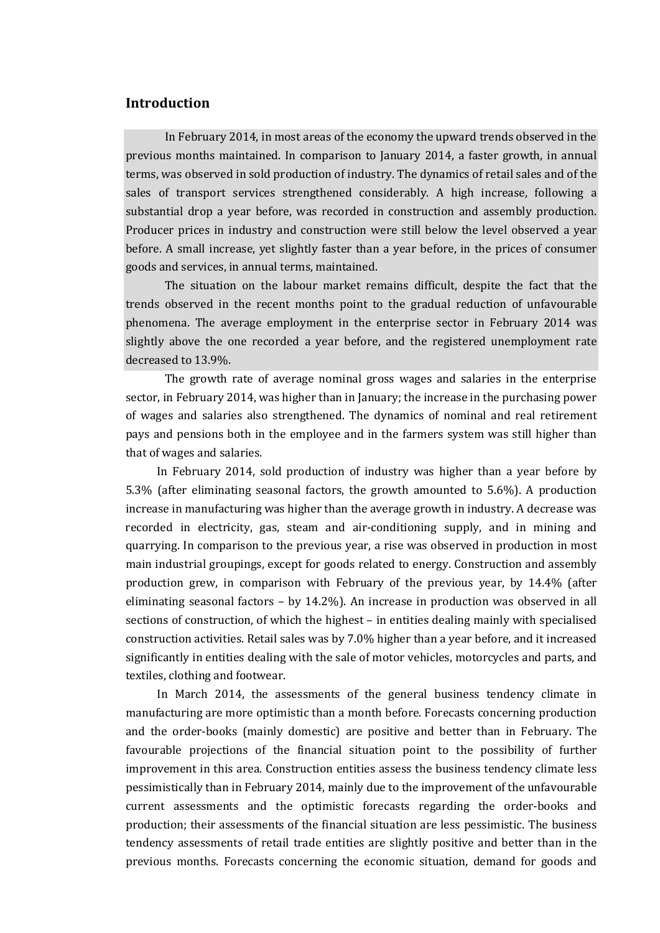## **Introduction**

In February 2014, in most areas of the economy the upward trends observed in the previous months maintained. In comparison to January 2014, a faster growth, in annual terms, was observed in sold production of industry. The dynamics of retail sales and of the sales of transport services strengthened considerably. A high increase, following a substantial drop a year before, was recorded in construction and assembly production. Producer prices in industry and construction were still below the level observed a year before. A small increase, yet slightly faster than a year before, in the prices of consumer goods and services, in annual terms, maintained.

The situation on the labour market remains difficult, despite the fact that the trends observed in the recent months point to the gradual reduction of unfavourable phenomena. The average employment in the enterprise sector in February 2014 was slightly above the one recorded a year before, and the registered unemployment rate decreased to 13.9%.

The growth rate of average nominal gross wages and salaries in the enterprise sector, in February 2014, was higher than in January; the increase in the purchasing power of wages and salaries also strengthened. The dynamics of nominal and real retirement pays and pensions both in the employee and in the farmers system was still higher than that of wages and salaries.

In February 2014, sold production of industry was higher than a year before by 5.3% (after eliminating seasonal factors, the growth amounted to 5.6%). A production increase in manufacturing was higher than the average growth in industry. A decrease was recorded in electricity, gas, steam and air-conditioning supply, and in mining and quarrying. In comparison to the previous year, a rise was observed in production in most main industrial groupings, except for goods related to energy. Construction and assembly production grew, in comparison with February of the previous year, by 14.4% (after eliminating seasonal factors – by 14.2%). An increase in production was observed in all sections of construction, of which the highest – in entities dealing mainly with specialised construction activities. Retail sales was by 7.0% higher than a year before, and it increased significantly in entities dealing with the sale of motor vehicles, motorcycles and parts, and textiles, clothing and footwear.

In March 2014, the assessments of the general business tendency climate in manufacturing are more optimistic than a month before. Forecasts concerning production and the order-books (mainly domestic) are positive and better than in February. The favourable projections of the financial situation point to the possibility of further improvement in this area. Construction entities assess the business tendency climate less pessimistically than in February 2014, mainly due to the improvement of the unfavourable current assessments and the optimistic forecasts regarding the order-books and production; their assessments of the financial situation are less pessimistic. The business tendency assessments of retail trade entities are slightly positive and better than in the previous months. Forecasts concerning the economic situation, demand for goods and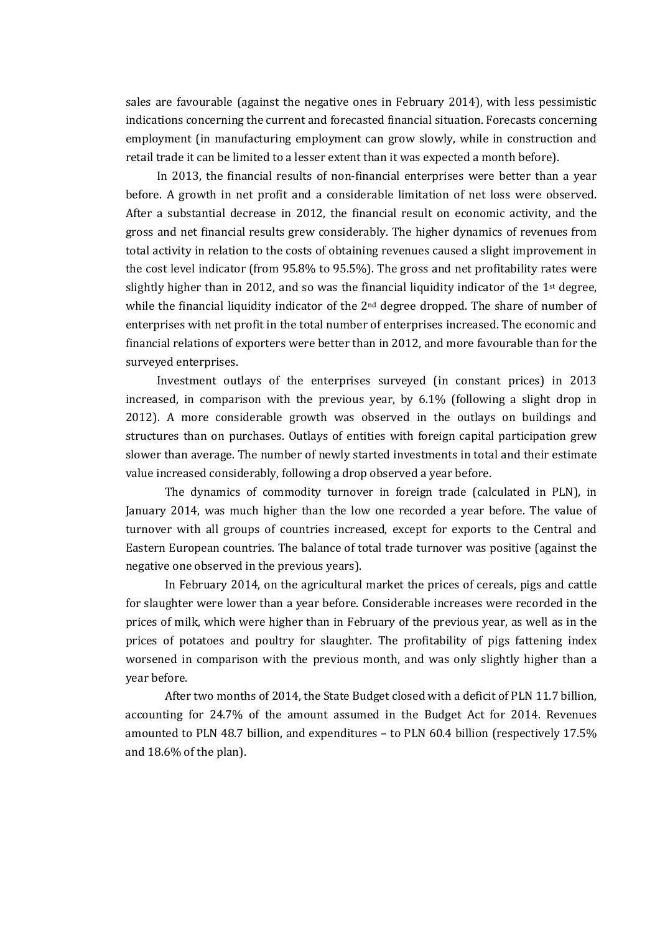sales are favourable (against the negative ones in February 2014), with less pessimistic indications concerning the current and forecasted financial situation. Forecasts concerning employment (in manufacturing employment can grow slowly, while in construction and retail trade it can be limited to a lesser extent than it was expected a month before).

In 2013, the financial results of non-financial enterprises were better than a year before. A growth in net profit and a considerable limitation of net loss were observed. After a substantial decrease in 2012, the financial result on economic activity, and the gross and net financial results grew considerably. The higher dynamics of revenues from total activity in relation to the costs of obtaining revenues caused a slight improvement in the cost level indicator (from 95.8% to 95.5%). The gross and net profitability rates were slightly higher than in 2012, and so was the financial liquidity indicator of the 1st degree, while the financial liquidity indicator of the 2<sup>nd</sup> degree dropped. The share of number of enterprises with net profit in the total number of enterprises increased. The economic and financial relations of exporters were better than in 2012, and more favourable than for the surveyed enterprises.

Investment outlays of the enterprises surveyed (in constant prices) in 2013 increased, in comparison with the previous year, by 6.1% (following a slight drop in 2012). A more considerable growth was observed in the outlays on buildings and structures than on purchases. Outlays of entities with foreign capital participation grew slower than average. The number of newly started investments in total and their estimate value increased considerably, following a drop observed a year before.

The dynamics of commodity turnover in foreign trade (calculated in PLN), in January 2014, was much higher than the low one recorded a year before. The value of turnover with all groups of countries increased, except for exports to the Central and Eastern European countries. The balance of total trade turnover was positive (against the negative one observed in the previous years).

In February 2014, on the agricultural market the prices of cereals, pigs and cattle for slaughter were lower than a year before. Considerable increases were recorded in the prices of milk, which were higher than in February of the previous year, as well as in the prices of potatoes and poultry for slaughter. The profitability of pigs fattening index worsened in comparison with the previous month, and was only slightly higher than a year before.

After two months of 2014, the State Budget closed with a deficit of PLN 11.7 billion, accounting for 24.7% of the amount assumed in the Budget Act for 2014. Revenues amounted to PLN 48.7 billion, and expenditures – to PLN 60.4 billion (respectively 17.5% and 18.6% of the plan).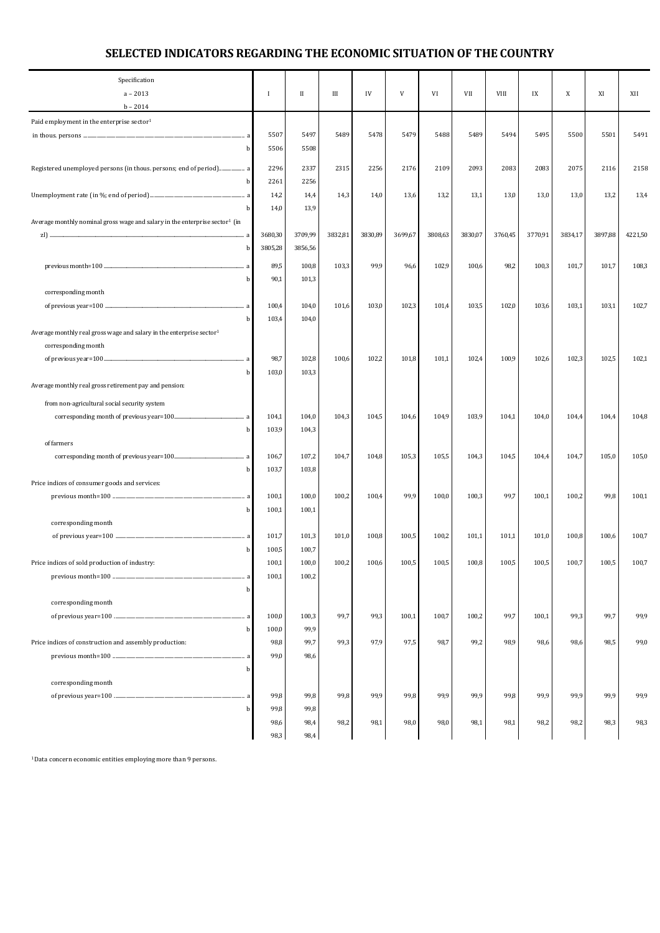## **SELECTED INDICATORS REGARDING THE ECONOMIC SITUATION OF THE COUNTRY**

| Specification<br>$a - 2013$                                                             | Ι            | $\mathbf{I}$ | Ш       | IV      | V       | VI      | VII     | VIII    | IX      | X       | XI      | XII     |
|-----------------------------------------------------------------------------------------|--------------|--------------|---------|---------|---------|---------|---------|---------|---------|---------|---------|---------|
| $b - 2014$                                                                              |              |              |         |         |         |         |         |         |         |         |         |         |
| Paid employment in the enterprise sector <sup>1</sup>                                   |              |              |         |         |         |         |         |         |         |         |         |         |
|                                                                                         | 5507         | 5497         | 5489    | 5478    | 5479    | 5488    | 5489    | 5494    | 5495    | 5500    | 5501    | 5491    |
| b                                                                                       | 5506         | 5508         |         |         |         |         |         |         |         |         |         |         |
| Registered unemployed persons (in thous. persons; end of period) a                      | 2296         | 2337         | 2315    | 2256    | 2176    | 2109    | 2093    | 2083    | 2083    | 2075    | 2116    | 2158    |
| b                                                                                       | 2261         | 2256         |         |         |         |         |         |         |         |         |         |         |
|                                                                                         | 14,2         | 14,4         | 14,3    | 14,0    | 13,6    | 13,2    | 13,1    | 13,0    | 13,0    | 13,0    | 13,2    | 13,4    |
| b                                                                                       | 14,0         | 13,9         |         |         |         |         |         |         |         |         |         |         |
| Average monthly nominal gross wage and salary in the enterprise sector <sup>1</sup> (in |              |              |         |         |         |         |         |         |         |         |         |         |
|                                                                                         | 3680,30      | 3709,99      | 3832,81 | 3830,89 | 3699,67 | 3808,63 | 3830,07 | 3760,45 | 3770,91 | 3834,17 | 3897,88 | 4221,50 |
| b                                                                                       | 3805,28      | 3856,56      |         |         |         |         |         |         |         |         |         |         |
|                                                                                         | 89,5         | 100,8        | 103,3   | 99,9    | 96,6    | 102,9   | 100,6   | 98,2    | 100,3   | 101,7   | 101,7   | 108,3   |
| b                                                                                       | 90,1         | 101,3        |         |         |         |         |         |         |         |         |         |         |
| corresponding month                                                                     |              |              |         |         |         |         |         |         |         |         |         |         |
|                                                                                         | 100,4        | 104,0        | 101,6   | 103,0   | 102,3   | 101,4   | 103,5   | 102,0   | 103,6   | 103,1   | 103,1   | 102,7   |
| b                                                                                       | 103,4        | 104,0        |         |         |         |         |         |         |         |         |         |         |
| Average monthly real gross wage and salary in the enterprise sector <sup>1</sup>        |              |              |         |         |         |         |         |         |         |         |         |         |
| corresponding month                                                                     |              |              |         |         |         |         |         |         |         |         |         |         |
|                                                                                         | 98,7         | 102,8        | 100,6   | 102,2   | 101,8   | 101,1   | 102,4   | 100,9   | 102,6   | 102,3   | 102,5   | 102,1   |
| b                                                                                       | 103,0        | 103,3        |         |         |         |         |         |         |         |         |         |         |
| Average monthly real gross retirement pay and pension:                                  |              |              |         |         |         |         |         |         |         |         |         |         |
| from non-agricultural social security system                                            |              |              |         |         |         |         |         |         |         |         |         |         |
|                                                                                         | 104,1        | 104,0        | 104,3   | 104,5   | 104,6   | 104,9   | 103,9   | 104,1   | 104,0   | 104,4   | 104,4   | 104,8   |
| b                                                                                       | 103,9        | 104,3        |         |         |         |         |         |         |         |         |         |         |
| of farmers                                                                              |              |              |         |         |         |         |         |         |         |         |         |         |
|                                                                                         | 106,7        | 107,2        | 104,7   | 104,8   | 105,3   | 105,5   | 104,3   | 104,5   | 104,4   | 104,7   | 105,0   | 105,0   |
| b                                                                                       | 103,7        | 103,8        |         |         |         |         |         |         |         |         |         |         |
| Price indices of consumer goods and services:                                           | 100,1        | 100,0        | 100,2   | 100,4   | 99,9    | 100,0   | 100,3   | 99,7    | 100,1   | 100,2   | 99,8    | 100,1   |
| b                                                                                       | 100,1        | 100,1        |         |         |         |         |         |         |         |         |         |         |
| corresponding month                                                                     |              |              |         |         |         |         |         |         |         |         |         |         |
|                                                                                         | 101,7        | 101,3        | 101,0   | 100,8   | 100,5   | 100,2   | 101,1   | 101,1   | 101,0   | 100,8   | 100,6   | 100,7   |
| b                                                                                       | 100,5        | 100,7        |         |         |         |         |         |         |         |         |         |         |
| Price indices of sold production of industry:                                           | 100,1        | 100,0        | 100,2   | 100,6   | 100,5   | 100,5   | 100,8   | 100,5   | 100,5   | 100,7   | 100,5   | 100,7   |
| a                                                                                       | 100,1        | 100,2        |         |         |         |         |         |         |         |         |         |         |
| b                                                                                       |              |              |         |         |         |         |         |         |         |         |         |         |
| corresponding month                                                                     |              |              |         |         |         |         |         |         |         |         |         |         |
|                                                                                         | 100,0        | 100,3        | 99,7    | 99,3    | 100,1   | 100,7   | 100,2   | 99,7    | 100,1   | 99,3    | 99,7    | 99,9    |
| b                                                                                       | 100,0        | 99,9         |         |         |         |         |         |         |         |         |         |         |
| Price indices of construction and assembly production:                                  | 98,8         | 99,7         | 99,3    | 97,9    | 97,5    | 98,7    | 99,2    | 98,9    | 98,6    | 98,6    | 98,5    | 99,0    |
|                                                                                         | 99,0         | 98,6         |         |         |         |         |         |         |         |         |         |         |
| b                                                                                       |              |              |         |         |         |         |         |         |         |         |         |         |
| corresponding month                                                                     |              |              |         |         |         |         |         |         |         |         |         |         |
|                                                                                         | 99,8         | 99,8         | 99,8    | 99,9    | 99,8    | 99,9    | 99,9    | 99,8    | 99,9    | 99,9    | 99,9    | 99,9    |
| b                                                                                       | 99,8<br>98,6 | 99,8<br>98,4 | 98,2    | 98,1    | 98,0    | 98,0    | 98,1    | 98,1    | 98,2    | 98,2    | 98,3    | 98,3    |
|                                                                                         | 98,3         | 98,4         |         |         |         |         |         |         |         |         |         |         |
|                                                                                         |              |              |         |         |         |         |         |         |         |         |         |         |

1 Data concern economic entities employing more than 9 persons.